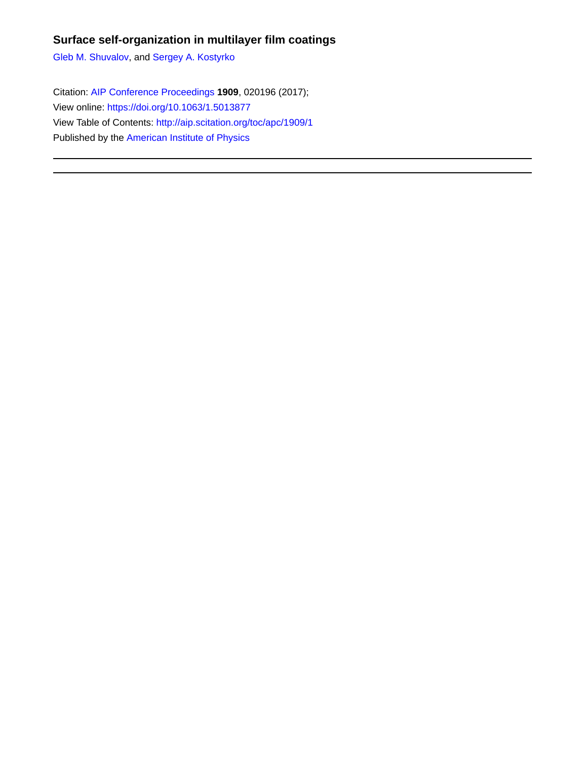# **Surface self-organization in multilayer film coatings**

[Gleb M. Shuvalov](http://aip.scitation.org/author/Shuvalov%2C+Gleb+M), and [Sergey A. Kostyrko](http://aip.scitation.org/author/Kostyrko%2C+Sergey+A)

Citation: [AIP Conference Proceedings](/loi/apc) **1909**, 020196 (2017); View online: <https://doi.org/10.1063/1.5013877> View Table of Contents: <http://aip.scitation.org/toc/apc/1909/1> Published by the [American Institute of Physics](http://aip.scitation.org/publisher/)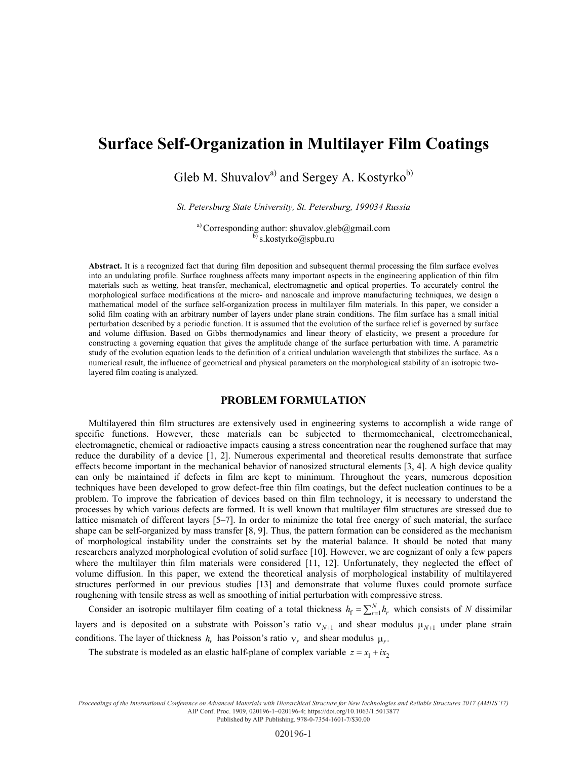## **Surface Self-Organization in Multilayer Film Coatings**

Gleb M. Shuvalov<sup>a)</sup> and Sergey A. Kostyrko<sup>b)</sup>

*St. Petersburg State University, St. Petersburg, 199034 Russia* 

a) Corresponding author: shuvalov.gleb@gmail.com  $b^5$ s.kostyrko@spbu.ru

**Abstract.** It is a recognized fact that during film deposition and subsequent thermal processing the film surface evolves into an undulating profile. Surface roughness affects many important aspects in the engineering application of thin film materials such as wetting, heat transfer, mechanical, electromagnetic and optical properties. To accurately control the morphological surface modifications at the micro- and nanoscale and improve manufacturing techniques, we design a mathematical model of the surface self-organization process in multilayer film materials. In this paper, we consider a solid film coating with an arbitrary number of layers under plane strain conditions. The film surface has a small initial perturbation described by a periodic function. It is assumed that the evolution of the surface relief is governed by surface and volume diffusion. Based on Gibbs thermodynamics and linear theory of elasticity, we present a procedure for constructing a governing equation that gives the amplitude change of the surface perturbation with time. A parametric study of the evolution equation leads to the definition of a critical undulation wavelength that stabilizes the surface. As a numerical result, the influence of geometrical and physical parameters on the morphological stability of an isotropic twolayered film coating is analyzed.

#### **PROBLEM FORMULATION**

Multilayered thin film structures are extensively used in engineering systems to accomplish a wide range of specific functions. However, these materials can be subjected to thermomechanical, electromechanical, electromagnetic, chemical or radioactive impacts causing a stress concentration near the roughened surface that may reduce the durability of a device [1, 2]. Numerous experimental and theoretical results demonstrate that surface effects become important in the mechanical behavior of nanosized structural elements [3, 4]. A high device quality can only be maintained if defects in film are kept to minimum. Throughout the years, numerous deposition techniques have been developed to grow defect-free thin film coatings, but the defect nucleation continues to be a problem. To improve the fabrication of devices based on thin film technology, it is necessary to understand the processes by which various defects are formed. It is well known that multilayer film structures are stressed due to lattice mismatch of different layers [5–7]. In order to minimize the total free energy of such material, the surface shape can be self-organized by mass transfer [8, 9]. Thus, the pattern formation can be considered as the mechanism of morphological instability under the constraints set by the material balance. It should be noted that many researchers analyzed morphological evolution of solid surface [10]. However, we are cognizant of only a few papers where the multilayer thin film materials were considered [11, 12]. Unfortunately, they neglected the effect of volume diffusion. In this paper, we extend the theoretical analysis of morphological instability of multilayered structures performed in our previous studies [13] and demonstrate that volume fluxes could promote surface roughening with tensile stress as well as smoothing of initial perturbation with compressive stress.

Consider an isotropic multilayer film coating of a total thickness  $h_f = \sum_{r=1}^{N} h_r$ , which consists of *N* dissimilar layers and is deposited on a substrate with Poisson's ratio  $v_{N+1}$  and shear modulus  $\mu_{N+1}$  under plane strain conditions. The layer of thickness  $h_r$  has Poisson's ratio  $v_r$  and shear modulus  $\mu_r$ .

The substrate is modeled as an elastic half-plane of complex variable  $z = x_1 + ix_2$ 

*Proceedings of the International Conference on Advanced Materials with Hierarchical Structure for New Technologies and Reliable Structures 2017 (AMHS'17)* AIP Conf. Proc. 1909, 020196-1–020196-4; https://doi.org/10.1063/1.5013877 Published by AIP Publishing. 978-0-7354-1601-7/\$30.00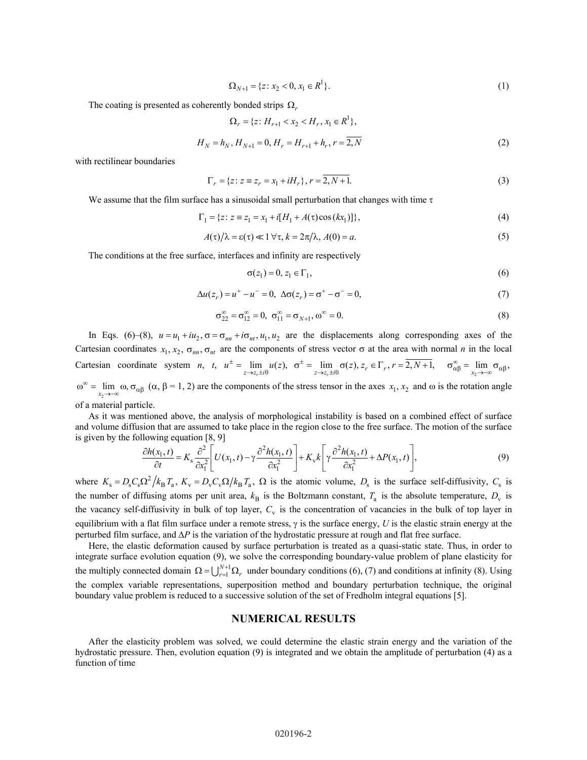$$
\Omega_{N+1} = \{ z \colon x_2 < 0, \, x_1 \in R^1 \}. \tag{1}
$$

The coating is presented as coherently bonded strips  $\Omega_r$ 

$$
\Omega_r = \{ z \colon H_{r+1} < x_2 < H_r, x_1 \in R^1 \},
$$

$$
H_N = h_N, H_{N+1} = 0, H_r = H_{r+1} + h_r, r = \overline{2, N}
$$
\n(2)

with rectilinear boundaries

$$
\Gamma_r = \{ z \colon z \equiv z_r = x_1 + iH_r \}, r = 2, N + 1. \tag{3}
$$

We assume that the film surface has a sinusoidal small perturbation that changes with time  $\tau$ 

$$
\Gamma_1 = \{ z \colon z \equiv z_1 = x_1 + i[H_1 + A(\tau)\cos(kx_1)] \},\tag{4}
$$

$$
A(\tau)/\lambda = \varepsilon(\tau) \ll 1 \,\forall \tau, k = 2\pi/\lambda, A(0) = a. \tag{5}
$$

The conditions at the free surface, interfaces and infinity are respectively

$$
\sigma(z_1) = 0, z_1 \in \Gamma_1,\tag{6}
$$

$$
\Delta u(z_r) = u^+ - u^- = 0, \ \Delta \sigma(z_r) = \sigma^+ - \sigma^- = 0,\tag{7}
$$

$$
\sigma_{22}^{\infty} = \sigma_{12}^{\infty} = 0, \ \sigma_{11}^{\infty} = \sigma_{N+1}, \omega^{\infty} = 0.
$$
 (8)

In Eqs. (6)–(8),  $u = u_1 + iu_2$ ,  $\sigma = \sigma_{nn} + i\sigma_{nt}$ ,  $u_1$ ,  $u_2$  are the displacements along corresponding axes of the Cartesian coordinates  $x_1, x_2, \sigma_m, \sigma_m$  are the components of stress vector  $\sigma$  at the area with normal *n* in the local Cartesian coordinate system *n*, *t*,  $u^{\pm} = \lim_{z \to z_r \pm i0} u(z)$ ,  $\sigma^{\pm} = \lim_{z \to z_r \pm i0} \sigma(z)$ ,  $z_r \in \Gamma_r$ ,  $r = \overline{2, N+1}$ ,  $\sigma_{\alpha\beta}^{\infty} = \lim_{x_2 \to -\infty} \sigma_{\alpha\beta}$ ,  $\sigma_{\alpha\beta}^{\infty} = \lim_{x_2 \to -\infty} \sigma_{\alpha\beta}$  $\lim_{x_2 \to -\infty} \omega,$  $\omega^{\infty} = \lim_{x_2 \to -\infty} \omega$ ,  $\sigma_{\alpha\beta}$  ( $\alpha$ ,  $\beta = 1, 2$ ) are the components of the stress tensor in the axes  $x_1, x_2$  and  $\omega$  is the rotation angle

of a material particle.

As it was mentioned above, the analysis of morphological instability is based on a combined effect of surface and volume diffusion that are assumed to take place in the region close to the free surface. The motion of the surface is given by the following equation [8, 9]

$$
\frac{\partial h(x_1, t)}{\partial t} = K_s \frac{\partial^2}{\partial x_1^2} \left[ U(x_1, t) - \gamma \frac{\partial^2 h(x_1, t)}{\partial x_1^2} \right] + K_v k \left[ \gamma \frac{\partial^2 h(x_1, t)}{\partial x_1^2} + \Delta P(x_1, t) \right],\tag{9}
$$

where  $K_s = D_s C_s \Omega^2 / k_B T_a$ ,  $K_v = D_v C_v \Omega / k_B T_a$ ,  $\Omega$  is the atomic volume,  $D_s$  is the surface self-diffusivity,  $C_s$  is the number of diffusing atoms per unit area,  $k_B$  is the Boltzmann constant,  $T_a$  is the absolute temperature,  $D_v$  is the vacancy self-diffusivity in bulk of top layer,  $C_v$  is the concentration of vacancies in the bulk of top layer in equilibrium with a flat film surface under a remote stress,  $\gamma$  is the surface energy, *U* is the elastic strain energy at the perturbed film surface, and ∆*P* is the variation of the hydrostatic pressure at rough and flat free surface.

Here, the elastic deformation caused by surface perturbation is treated as a quasi-static state. Thus, in order to integrate surface evolution equation (9), we solve the corresponding boundary-value problem of plane elasticity for the multiply connected domain  $\Omega = \bigcup_{r=1}^{N+1}$  $\Omega = \bigcup_{r=1}^{N+1} \Omega_r$  under boundary conditions (6), (7) and conditions at infinity (8). Using the complex variable representations, superposition method and boundary perturbation technique, the original boundary value problem is reduced to a successive solution of the set of Fredholm integral equations [5].

#### **NUMERICAL RESULTS**

After the elasticity problem was solved, we could determine the elastic strain energy and the variation of the hydrostatic pressure. Then, evolution equation (9) is integrated and we obtain the amplitude of perturbation (4) as a function of time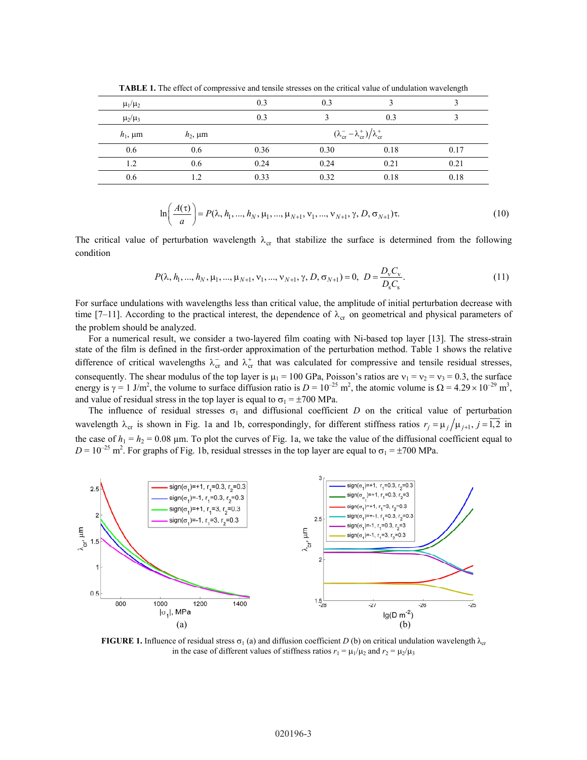| $\mu_1/\mu_2$   |                 | 0.3                                                              | 0.3          |      |      |
|-----------------|-----------------|------------------------------------------------------------------|--------------|------|------|
| $\mu_2/\mu_3$   |                 | 0.3                                                              | $\mathbf{R}$ | 0.3  |      |
| $h_1$ , $\mu$ m | $h_2$ , $\mu$ m | $(\lambda_{\rm cr}^- - \lambda_{\rm cr}^+) / \lambda_{\rm cr}^+$ |              |      |      |
| 0.6             | 0.6             | 0.36                                                             | 0.30         | 0.18 | 0.17 |
| 1.2             | 0.6             | 0.24                                                             | 0.24         | 0.21 | 0.21 |
| 0.6             | l .2            | 0.33                                                             | 0.32         | 0.18 | 0.18 |

**TABLE 1.** The effect of compressive and tensile stresses on the critical value of undulation wavelength

$$
\ln\left(\frac{A(\tau)}{a}\right) = P(\lambda, h_1, ..., h_N, \mu_1, ..., \mu_{N+1}, \nu_1, ..., \nu_{N+1}, \gamma, D, \sigma_{N+1})\tau.
$$
 (10)

The critical value of perturbation wavelength  $\lambda_{cr}$  that stabilize the surface is determined from the following condition

$$
P(\lambda, h_1, ..., h_N, \mu_1, ..., \mu_{N+1}, \nu_1, ..., \nu_{N+1}, \gamma, D, \sigma_{N+1}) = 0, \ D = \frac{D_v C_v}{D_s C_s}.
$$
 (11)

For surface undulations with wavelengths less than critical value, the amplitude of initial perturbation decrease with time [7–11]. According to the practical interest, the dependence of  $\lambda_{cr}$  on geometrical and physical parameters of the problem should be analyzed.

For a numerical result, we consider a two-layered film coating with Ni-based top layer [13]. The stress-strain state of the film is defined in the first-order approximation of the perturbation method. Table 1 shows the relative difference of critical wavelengths  $\lambda_{cr}^-$  and  $\lambda_{cr}^+$  that was calculated for compressive and tensile residual stresses, consequently. The shear modulus of the top layer is  $\mu_1 = 100$  GPa, Poisson's ratios are  $v_1 = v_2 = v_3 = 0.3$ , the surface energy is  $\gamma = 1$  J/m<sup>2</sup>, the volume to surface diffusion ratio is  $D = 10^{-25}$  m<sup>2</sup>, the atomic volume is  $\Omega = 4.29 \times 10^{-29}$  m<sup>3</sup>, and value of residual stress in the top layer is equal to  $\sigma_1 = \pm 700$  MPa.

The influence of residual stresses  $\sigma_1$  and diffusional coefficient *D* on the critical value of perturbation wavelength  $\lambda_{cr}$  is shown in Fig. 1a and 1b, correspondingly, for different stiffness ratios  $r_j = \mu_j / \mu_{j+1}, j = 1,2$  in the case of  $h_1 = h_2 = 0.08$  µm. To plot the curves of Fig. 1a, we take the value of the diffusional coefficient equal to  $D = 10^{-25}$  m<sup>2</sup>. For graphs of Fig. 1b, residual stresses in the top layer are equal to  $\sigma_1 = \pm 700$  MPa.



**FIGURE 1.** Influence of residual stress  $\sigma_1$  (a) and diffusion coefficient *D* (b) on critical undulation wavelength  $\lambda_{cr}$ in the case of different values of stiffness ratios  $r_1 = \mu_1/\mu_2$  and  $r_2 = \mu_2/\mu_3$